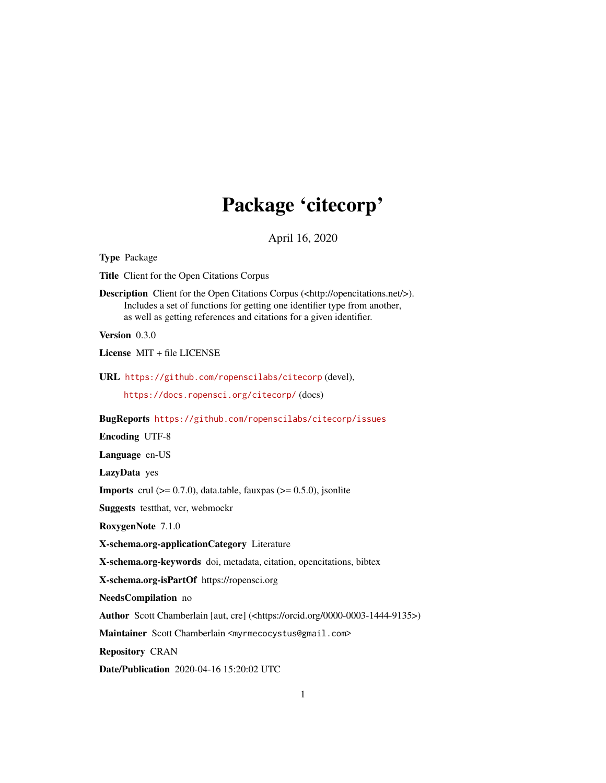## Package 'citecorp'

April 16, 2020

<span id="page-0-0"></span>Type Package Title Client for the Open Citations Corpus Description Client for the Open Citations Corpus (<http://opencitations.net/>). Includes a set of functions for getting one identifier type from another, as well as getting references and citations for a given identifier. Version 0.3.0 License MIT + file LICENSE URL <https://github.com/ropenscilabs/citecorp> (devel), <https://docs.ropensci.org/citecorp/> (docs) BugReports <https://github.com/ropenscilabs/citecorp/issues> Encoding UTF-8 Language en-US LazyData yes **Imports** crul  $(>= 0.7.0)$ , data.table, fauxpas  $(>= 0.5.0)$ , jsonlite Suggests testthat, vcr, webmockr RoxygenNote 7.1.0 X-schema.org-applicationCategory Literature X-schema.org-keywords doi, metadata, citation, opencitations, bibtex X-schema.org-isPartOf https://ropensci.org NeedsCompilation no Author Scott Chamberlain [aut, cre] (<https://orcid.org/0000-0003-1444-9135>) Maintainer Scott Chamberlain <myrmecocystus@gmail.com> Repository CRAN Date/Publication 2020-04-16 15:20:02 UTC 1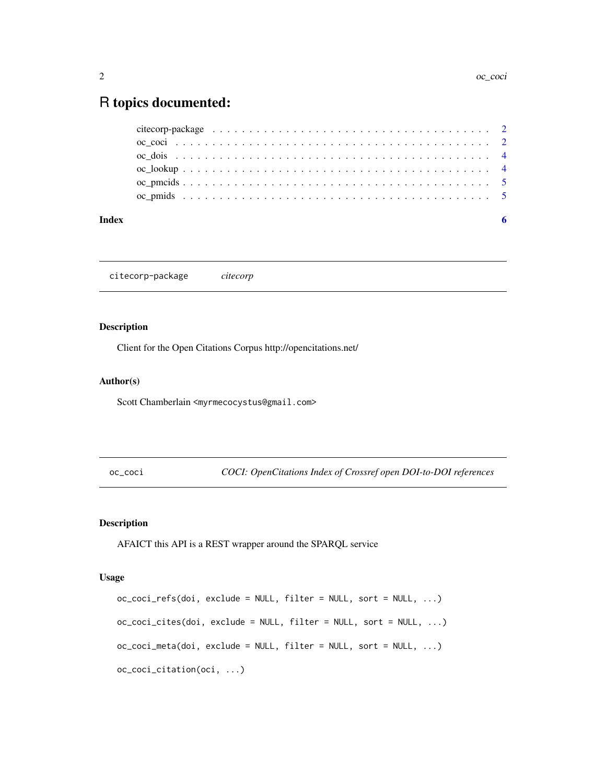### <span id="page-1-0"></span>R topics documented:

| Index |  |
|-------|--|
|       |  |
|       |  |
|       |  |
|       |  |
|       |  |
|       |  |

citecorp-package *citecorp*

#### Description

Client for the Open Citations Corpus http://opencitations.net/

#### Author(s)

Scott Chamberlain <myrmecocystus@gmail.com>

<span id="page-1-1"></span>oc\_coci *COCI: OpenCitations Index of Crossref open DOI-to-DOI references*

#### Description

AFAICT this API is a REST wrapper around the SPARQL service

#### Usage

```
oc_coci_refs(doi, exclude = NULL, filter = NULL, sort = NULL, ...)
oc_coci_cites(doi, exclude = NULL, filter = NULL, sort = NULL, ...)
oc_coci_meta(doi, exclude = NULL, filter = NULL, sort = NULL, ...)
oc_coci_citation(oci, ...)
```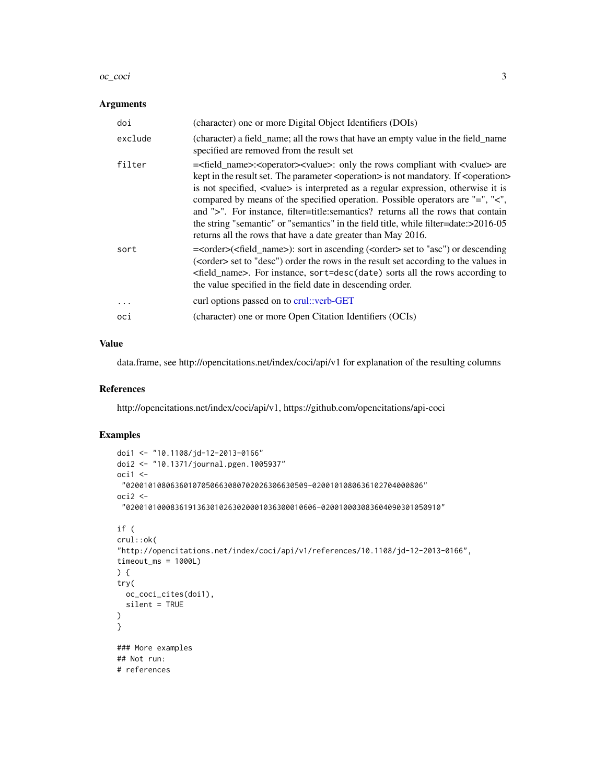#### <span id="page-2-0"></span>oc\_coci 3

#### Arguments

| doi      | (character) one or more Digital Object Identifiers (DOIs)                                                                                                                                                                                                                                                                                                                                                                                                                                                                                                                                                                                                                 |
|----------|---------------------------------------------------------------------------------------------------------------------------------------------------------------------------------------------------------------------------------------------------------------------------------------------------------------------------------------------------------------------------------------------------------------------------------------------------------------------------------------------------------------------------------------------------------------------------------------------------------------------------------------------------------------------------|
| exclude  | (character) a field_name; all the rows that have an empty value in the field_name<br>specified are removed from the result set                                                                                                                                                                                                                                                                                                                                                                                                                                                                                                                                            |
| filter   | = <field_name>:<operator><value>: only the rows compliant with <value> are<br/>kept in the result set. The parameter <operation> is not mandatory. If <operation><br/>is not specified, <value> is interpreted as a regular expression, otherwise it is<br/>compared by means of the specified operation. Possible operators are "=", "&lt;",<br/>and "&gt;". For instance, filter=title:semantics? returns all the rows that contain<br/>the string "semantic" or "semantics" in the field title, while filter=date:&gt;2016-05<br/>returns all the rows that have a date greater than May 2016.</value></operation></operation></value></value></operator></field_name> |
| sort     | = <order>(<field_name>): sort in ascending (<order> set to "asc") or descending<br/>(<order> set to "desc") order the rows in the result set according to the values in<br/><field_name>. For instance, sort=desc(date) sorts all the rows according to<br/>the value specified in the field date in descending order.</field_name></order></order></field_name></order>                                                                                                                                                                                                                                                                                                  |
| $\cdots$ | curl options passed on to crul: verb-GET                                                                                                                                                                                                                                                                                                                                                                                                                                                                                                                                                                                                                                  |
| oci      | (character) one or more Open Citation Identifiers (OCIs)                                                                                                                                                                                                                                                                                                                                                                                                                                                                                                                                                                                                                  |

#### Value

data.frame, see http://opencitations.net/index/coci/api/v1 for explanation of the resulting columns

#### References

http://opencitations.net/index/coci/api/v1, https://github.com/opencitations/api-coci

#### Examples

```
doi1 <- "10.1108/jd-12-2013-0166"
doi2 <- "10.1371/journal.pgen.1005937"
oci1 < -"02001010806360107050663080702026306630509-0200101080636102704000806"
oci2 <-
 "0200101000836191363010263020001036300010606-020010003083604090301050910"
if (
crul::ok(
"http://opencitations.net/index/coci/api/v1/references/10.1108/jd-12-2013-0166",
timeout_ms = 1000L)
) {
try(
  oc_coci_cites(doi1),
  silent = TRUE
)
}
### More examples
## Not run:
# references
```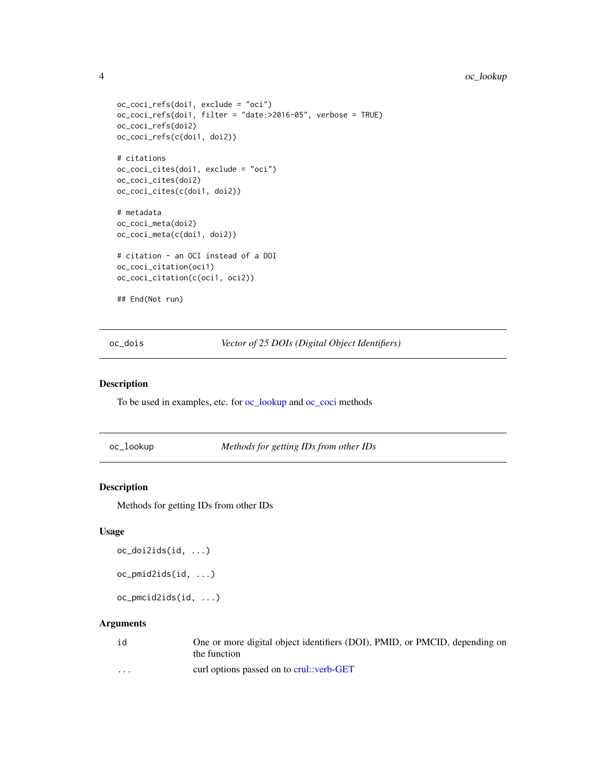#### <span id="page-3-0"></span>4 oc\_lookup

```
oc_coci_refs(doi1, exclude = "oci")
oc_coci_refs(doi1, filter = "date:>2016-05", verbose = TRUE)
oc_coci_refs(doi2)
oc_coci_refs(c(doi1, doi2))
# citations
oc_coci_cites(doi1, exclude = "oci")
oc_coci_cites(doi2)
oc_coci_cites(c(doi1, doi2))
# metadata
oc_coci_meta(doi2)
oc_coci_meta(c(doi1, doi2))
# citation - an OCI instead of a DOI
oc_coci_citation(oci1)
oc_coci_citation(c(oci1, oci2))
## End(Not run)
```
oc\_dois *Vector of 25 DOIs (Digital Object Identifiers)*

#### Description

To be used in examples, etc. for [oc\\_lookup](#page-3-1) and [oc\\_coci](#page-1-1) methods

<span id="page-3-1"></span>oc\_lookup *Methods for getting IDs from other IDs*

#### Description

Methods for getting IDs from other IDs

#### Usage

```
oc_doi2ids(id, ...)
```
oc\_pmid2ids(id, ...)

oc\_pmcid2ids(id, ...)

#### Arguments

| id                | One or more digital object identifiers (DOI), PMID, or PMCID, depending on<br>the function |
|-------------------|--------------------------------------------------------------------------------------------|
| $\cdot\cdot\cdot$ | curl options passed on to crul::verb-GET                                                   |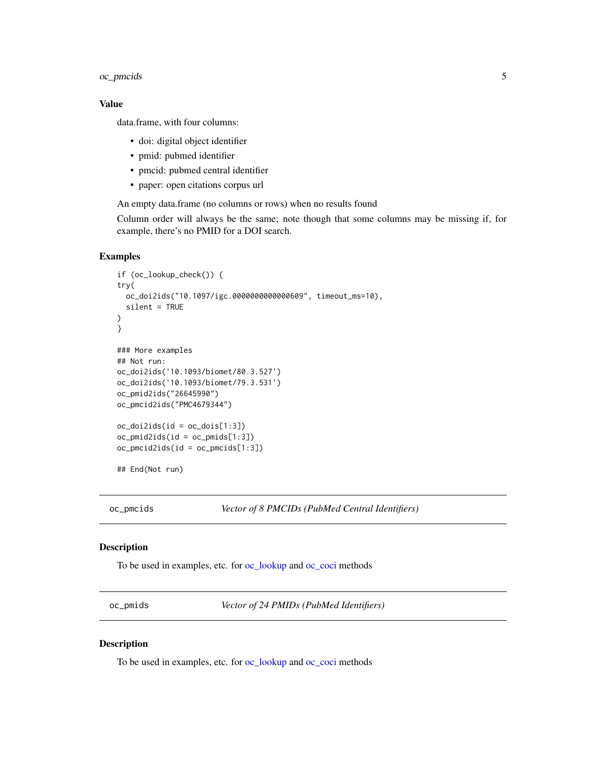#### <span id="page-4-0"></span>oc\_pmcids 5

#### Value

data.frame, with four columns:

- doi: digital object identifier
- pmid: pubmed identifier
- pmcid: pubmed central identifier
- paper: open citations corpus url

An empty data.frame (no columns or rows) when no results found

Column order will always be the same; note though that some columns may be missing if, for example, there's no PMID for a DOI search.

#### Examples

```
if (oc_lookup_check()) {
try(
 oc_doi2ids("10.1097/igc.0000000000000609", timeout_ms=10),
 silent = TRUE
\lambda}
### More examples
## Not run:
oc_doi2ids('10.1093/biomet/80.3.527')
oc_doi2ids('10.1093/biomet/79.3.531')
oc_pmid2ids("26645990")
oc_pmcid2ids("PMC4679344")
oc_doi2ids(id = oc_dois[1:3])
oc_pmid2ids(id = oc_pmids[1:3])
oc_pmcid2ids(id = oc_pmcids[1:3])
## End(Not run)
```
oc\_pmcids *Vector of 8 PMCIDs (PubMed Central Identifiers)*

#### Description

To be used in examples, etc. for [oc\\_lookup](#page-3-1) and [oc\\_coci](#page-1-1) methods

oc\_pmids *Vector of 24 PMIDs (PubMed Identifiers)*

#### Description

To be used in examples, etc. for [oc\\_lookup](#page-3-1) and [oc\\_coci](#page-1-1) methods